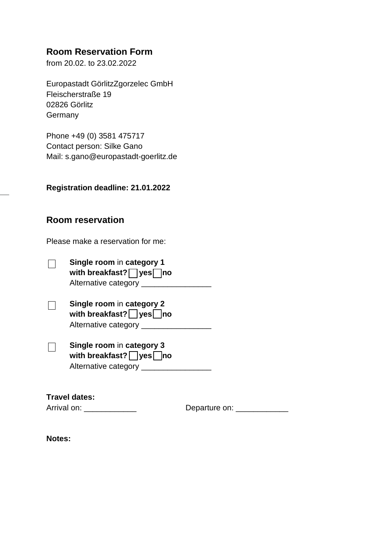# **Room Reservation Form**

from 20.02. to 23.02.2022

Europastadt GörlitzZgorzelec GmbH Fleischerstraße 19 02826 Görlitz **Germany** 

Phone +49 (0) 3581 475717 Contact person: Silke Gano Mail: s.gano@europastadt-goerlitz.de

**Registration deadline: 21.01.2022**

## **Room reservation**

Please make a reservation for me:

| $\perp$ | Single room in category 1<br>with breakfast? $\nabla$ yes $\nabla$ no |
|---------|-----------------------------------------------------------------------|
|         | Alternative category _                                                |

| $\perp$ | Single room in category 2<br>with breakfast? $\nabla$ yes $\nabla$ no |  |
|---------|-----------------------------------------------------------------------|--|
|         | Alternative category                                                  |  |

| $\perp$ | Single room in category 3     |
|---------|-------------------------------|
|         | with breakfast? $\log$ yes no |
|         | Alternative category          |

| <b>Travel dates:</b> |
|----------------------|
|                      |

Arrival on: \_\_\_\_\_\_\_\_\_\_\_\_ Departure on: \_\_\_\_\_\_\_\_\_\_\_\_

**Notes:**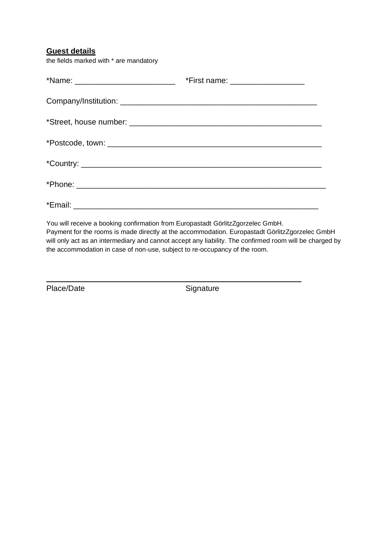## **Guest details**

the fields marked with \* are mandatory

|                                                                                 | *Name: _________________________________ *First name: __________________________ |
|---------------------------------------------------------------------------------|----------------------------------------------------------------------------------|
|                                                                                 |                                                                                  |
|                                                                                 |                                                                                  |
|                                                                                 |                                                                                  |
|                                                                                 |                                                                                  |
|                                                                                 |                                                                                  |
|                                                                                 |                                                                                  |
| You will receive a booking confirmation from Europastadt GörlitzZgorzelec GmbH. |                                                                                  |

Payment for the rooms is made directly at the accommodation. Europastadt GörlitzZgorzelec GmbH will only act as an intermediary and cannot accept any liability. The confirmed room will be charged by the accommodation in case of non-use, subject to re-occupancy of the room.

Place/Date Signature